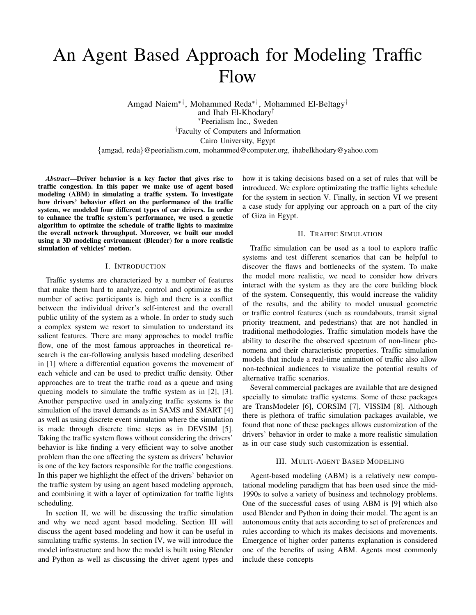# An Agent Based Approach for Modeling Traffic Flow

Amgad Naiem∗†, Mohammed Reda∗†, Mohammed El-Beltagy† and Ihab El-Khodary† <sup>∗</sup>Peerialism Inc., Sweden †Faculty of Computers and Information Cairo University, Egypt {amgad, reda}@peerialism.com, mohammed@computer.org, ihabelkhodary@yahoo.com

*Abstract*—Driver behavior is a key factor that gives rise to traffic congestion. In this paper we make use of agent based modeling (ABM) in simulating a traffic system. To investigate how drivers' behavior effect on the performance of the traffic system, we modeled four different types of car drivers. In order to enhance the traffic system's performance, we used a genetic algorithm to optimize the schedule of traffic lights to maximize the overall network throughput. Moreover, we built our model using a 3D modeling environment (Blender) for a more realistic simulation of vehicles' motion.

#### I. INTRODUCTION

Traffic systems are characterized by a number of features that make them hard to analyze, control and optimize as the number of active participants is high and there is a conflict between the individual driver's self-interest and the overall public utility of the system as a whole. In order to study such a complex system we resort to simulation to understand its salient features. There are many approaches to model traffic flow, one of the most famous approaches in theoretical research is the car-following analysis based modeling described in [1] where a differential equation governs the movement of each vehicle and can be used to predict traffic density. Other approaches are to treat the traffic road as a queue and using queuing models to simulate the traffic system as in [2], [3]. Another perspective used in analyzing traffic systems is the simulation of the travel demands as in SAMS and SMART [4] as well as using discrete event simulation where the simulation is made through discrete time steps as in DEVSIM [5]. Taking the traffic system flows without considering the drivers' behavior is like finding a very efficient way to solve another problem than the one affecting the system as drivers' behavior is one of the key factors responsible for the traffic congestions. In this paper we highlight the effect of the drivers' behavior on the traffic system by using an agent based modeling approach, and combining it with a layer of optimization for traffic lights scheduling.

In section II, we will be discussing the traffic simulation and why we need agent based modeling. Section III will discuss the agent based modeling and how it can be useful in simulating traffic systems. In section IV, we will introduce the model infrastructure and how the model is built using Blender and Python as well as discussing the driver agent types and how it is taking decisions based on a set of rules that will be introduced. We explore optimizating the traffic lights schedule for the system in section V. Finally, in section VI we present a case study for applying our approach on a part of the city of Giza in Egypt.

## II. TRAFFIC SIMULATION

Traffic simulation can be used as a tool to explore traffic systems and test different scenarios that can be helpful to discover the flaws and bottlenecks of the system. To make the model more realistic, we need to consider how drivers interact with the system as they are the core building block of the system. Consequently, this would increase the validity of the results, and the ability to model unusual geometric or traffic control features (such as roundabouts, transit signal priority treatment, and pedestrians) that are not handled in traditional methodologies. Traffic simulation models have the ability to describe the observed spectrum of non-linear phenomena and their characteristic properties. Traffic simulation models that include a real-time animation of traffic also allow non-technical audiences to visualize the potential results of alternative traffic scenarios.

Several commercial packages are available that are designed specially to simulate traffic systems. Some of these packages are TransModeler [6], CORSIM [7], VISSIM [8]. Although there is plethora of traffic simulation packages available, we found that none of these packages allows customization of the drivers' behavior in order to make a more realistic simulation as in our case study such customization is essential.

#### III. MULTI-AGENT BASED MODELING

Agent-based modeling (ABM) is a relatively new computational modeling paradigm that has been used since the mid-1990s to solve a variety of business and technology problems. One of the successful cases of using ABM is [9] which also used Blender and Python in doing their model. The agent is an autonomous entity that acts according to set of preferences and rules according to which its makes decisions and movements. Emergence of higher order patterns explanation is considered one of the benefits of using ABM. Agents most commonly include these concepts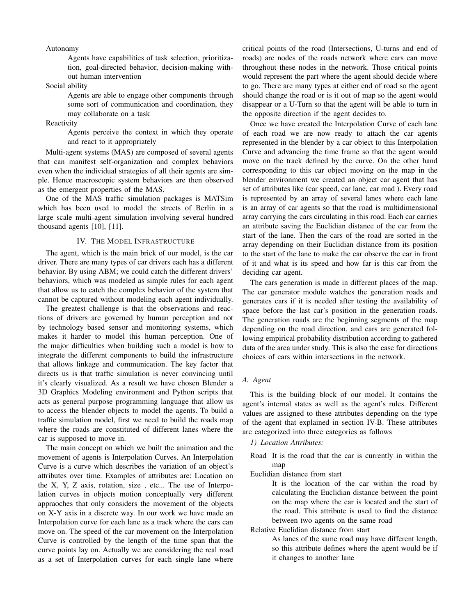#### Autonomy .

Agents have capabilities of task selection, prioritization, goal-directed behavior, decision-making without human intervention

Social ability

Agents are able to engage other components through some sort of communication and coordination, they may collaborate on a task

**Reactivity** 

Agents perceive the context in which they operate and react to it appropriately

Multi-agent systems (MAS) are composed of several agents that can manifest self-organization and complex behaviors even when the individual strategies of all their agents are simple. Hence macroscopic system behaviors are then observed as the emergent properties of the MAS.

One of the MAS traffic simulation packages is MATSim which has been used to model the streets of Berlin in a large scale multi-agent simulation involving several hundred thousand agents [10], [11].

## IV. THE MODEL INFRASTRUCTURE

The agent, which is the main brick of our model, is the car driver. There are many types of car drivers each has a different behavior. By using ABM; we could catch the different drivers' behaviors, which was modeled as simple rules for each agent that allow us to catch the complex behavior of the system that cannot be captured without modeling each agent individually.

The greatest challenge is that the observations and reactions of drivers are governed by human perception and not by technology based sensor and monitoring systems, which makes it harder to model this human perception. One of the major difficulties when building such a model is how to integrate the different components to build the infrastructure that allows linkage and communication. The key factor that directs us is that traffic simulation is never convincing until it's clearly visualized. As a result we have chosen Blender a 3D Graphics Modeling environment and Python scripts that acts as general purpose programming language that allow us to access the blender objects to model the agents. To build a traffic simulation model, first we need to build the roads map where the roads are constituted of different lanes where the car is supposed to move in.

The main concept on which we built the animation and the movement of agents is Interpolation Curves. An Interpolation Curve is a curve which describes the variation of an object's attributes over time. Examples of attributes are: Location on the X, Y, Z axis, rotation, size , etc... The use of Interpolation curves in objects motion conceptually very different appraoches that only considers the movement of the objects on X-Y axis in a discrete way. In our work we have made an Interpolation curve for each lane as a track where the cars can move on. The speed of the car movement on the Interpolation Curve is controlled by the length of the time span that the curve points lay on. Actually we are considering the real road as a set of Interpolation curves for each single lane where

critical points of the road (Intersections, U-turns and end of roads) are nodes of the roads network where cars can move throughout these nodes in the network. Those critical points would represent the part where the agent should decide where to go. There are many types at either end of road so the agent should change the road or is it out of map so the agent would disappear or a U-Turn so that the agent will be able to turn in the opposite direction if the agent decides to.

Once we have created the Interpolation Curve of each lane of each road we are now ready to attach the car agents represented in the blender by a car object to this Interpolation Curve and advancing the time frame so that the agent would move on the track defined by the curve. On the other hand corresponding to this car object moving on the map in the blender environment we created an object car agent that has set of attributes like (car speed, car lane, car road ). Every road is represented by an array of several lanes where each lane is an array of car agents so that the road is multidimensional array carrying the cars circulating in this road. Each car carries an attribute saving the Euclidian distance of the car from the start of the lane. Then the cars of the road are sorted in the array depending on their Euclidian distance from its position to the start of the lane to make the car observe the car in front of it and what is its speed and how far is this car from the deciding car agent.

The cars generation is made in different places of the map. The car generator module watches the generation roads and generates cars if it is needed after testing the availability of space before the last car's position in the generation roads. The generation roads are the beginning segments of the map depending on the road direction, and cars are generated following empirical probability distribution according to gathered data of the area under study. This is also the case for directions choices of cars within intersections in the network.

# *A. Agent*

This is the building block of our model. It contains the agent's internal states as well as the agent's rules. Different values are assigned to these attributes depending on the type of the agent that explained in section IV-B. These attributes are categorized into three categories as follows

#### *1) Location Attributes:*

- Road It is the road that the car is currently in within the map
- Euclidian distance from start .

It is the location of the car within the road by calculating the Euclidian distance between the point on the map where the car is located and the start of the road. This attribute is used to find the distance between two agents on the same road

Relative Euclidian distance from start .

As lanes of the same road may have different length, so this attribute defines where the agent would be if it changes to another lane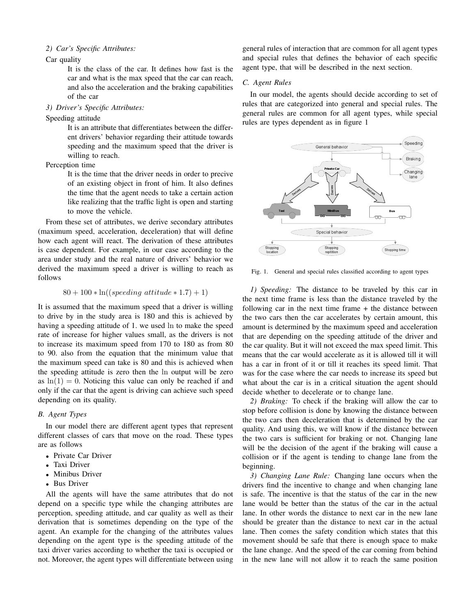# *2) Car's Specific Attributes:*

# Car quality

It is the class of the car. It defines how fast is the car and what is the max speed that the car can reach, and also the acceleration and the braking capabilities of the car

# *3) Driver's Specific Attributes:*

## Speeding attitude

It is an attribute that differentiates between the different drivers' behavior regarding their attitude towards speeding and the maximum speed that the driver is willing to reach.

Perception time

It is the time that the driver needs in order to precive of an existing object in front of him. It also defines the time that the agent needs to take a certain action like realizing that the traffic light is open and starting to move the vehicle.

From these set of attributes, we derive secondary attributes (maximum speed, acceleration, deceleration) that will define how each agent will react. The derivation of these attributes is case dependent. For example, in our case according to the area under study and the real nature of drivers' behavior we derived the maximum speed a driver is willing to reach as follows

$$
80 + 100 * \ln((speeding attitude * 1.7) + 1)
$$

It is assumed that the maximum speed that a driver is willing to drive by in the study area is 180 and this is achieved by having a speeding attitude of 1. we used ln to make the speed rate of increase for higher values small, as the drivers is not to increase its maximum speed from 170 to 180 as from 80 to 90. also from the equation that the minimum value that the maximum speed can take is 80 and this is achieved when the speeding attitude is zero then the ln output will be zero as  $ln(1) = 0$ . Noticing this value can only be reached if and only if the car that the agent is driving can achieve such speed depending on its quality.

# *B. Agent Types*

In our model there are different agent types that represent different classes of cars that move on the road. These types are as follows

- Private Car Driver
- Taxi Driver
- Minibus Driver
- Bus Driver

All the agents will have the same attributes that do not depend on a specific type while the changing attributes are perception, speeding attitude, and car quality as well as their derivation that is sometimes depending on the type of the agent. An example for the changing of the attributes values depending on the agent type is the speeding attitude of the taxi driver varies according to whether the taxi is occupied or not. Moreover, the agent types will differentiate between using

general rules of interaction that are common for all agent types and special rules that defines the behavior of each specific agent type, that will be described in the next section.

## *C. Agent Rules*

In our model, the agents should decide according to set of rules that are categorized into general and special rules. The general rules are common for all agent types, while special rules are types dependent as in figure 1



Fig. 1. General and special rules classified according to agent types

*1) Speeding:* The distance to be traveled by this car in the next time frame is less than the distance traveled by the following car in the next time frame + the distance between the two cars then the car accelerates by certain amount, this amount is determined by the maximum speed and acceleration that are depending on the speeding attitude of the driver and the car quality. But it will not exceed the max speed limit. This means that the car would accelerate as it is allowed till it will has a car in front of it or till it reaches its speed limit. That was for the case where the car needs to increase its speed but what about the car is in a critical situation the agent should decide whether to decelerate or to change lane.

*2) Braking:* To check if the braking will allow the car to stop before collision is done by knowing the distance between the two cars then deceleration that is determined by the car quality. And using this, we will know if the distance between the two cars is sufficient for braking or not. Changing lane will be the decision of the agent if the braking will cause a collision or if the agent is tending to change lane from the beginning.

*3) Changing Lane Rule:* Changing lane occurs when the drivers find the incentive to change and when changing lane is safe. The incentive is that the status of the car in the new lane would be better than the status of the car in the actual lane. In other words the distance to next car in the new lane should be greater than the distance to next car in the actual lane. Then comes the safety condition which states that this movement should be safe that there is enough space to make the lane change. And the speed of the car coming from behind in the new lane will not allow it to reach the same position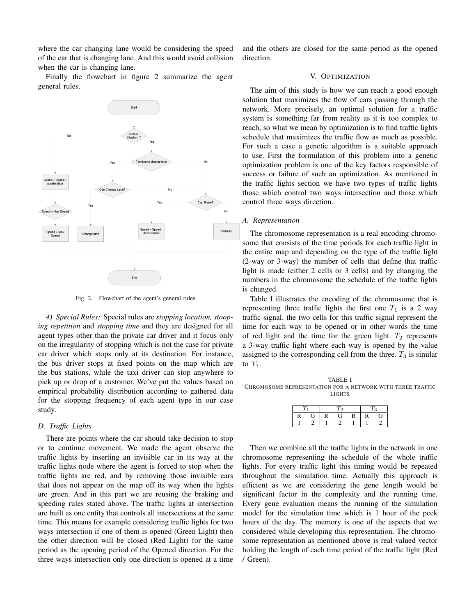where the car changing lane would be considering the speed of the car that is changing lane. And this would avoid collision when the car is changing lane.

Finally the flowchart in figure 2 summarize the agent general rules.



Fig. 2. Flowchart of the agent's general rules

*4) Special Rules:* Special rules are *stopping location, stooping repetition* and *stopping time* and they are designed for all agent types other than the private car driver and it focus only on the irregularity of stopping which is not the case for private car driver which stops only at its destination. For instance, the bus driver stops at fixed points on the map which are the bus stations, while the taxi driver can stop anywhere to pick up or drop of a customer. We've put the values based on empirical probability distribution according to gathered data for the stopping frequency of each agent type in our case study.

# *D. Traffic Lights*

There are points where the car should take decision to stop or to continue movement. We made the agent observe the traffic lights by inserting an invisible car in its way at the traffic lights node where the agent is forced to stop when the traffic lights are red, and by removing those invisible cars that does not appear on the map off its way when the lights are green. And in this part we are reusing the braking and speeding rules stated above. The traffic lights at intersection are built as one entity that controls all intersections at the same time. This means for example considering traffic lights for two ways intersection if one of them is opened (Green Light) then the other direction will be closed (Red Light) for the same period as the opening period of the Opened direction. For the three ways intersection only one direction is opened at a time and the others are closed for the same period as the opened direction.

## V. OPTIMIZATION

The aim of this study is how we can reach a good enough solution that maximizes the flow of cars passing through the network. More precisely, an optimal solution for a traffic system is something far from reality as it is too complex to reach, so what we mean by optimization is to find traffic lights schedule that maximizes the traffic flow as much as possible. For such a case a genetic algorithm is a suitable approach to use. First the formulation of this problem into a genetic optimization problem is one of the key factors responsible of success or failure of such an optimization. As mentioned in the traffic lights section we have two types of traffic lights those which control two ways intersection and those which control three ways direction.

#### *A. Representation*

The chromosome representation is a real encoding chromosome that consists of the time periods for each traffic light in the entire map and depending on the type of the traffic light (2-way or 3-way) the number of cells that define that traffic light is made (either 2 cells or 3 cells) and by changing the numbers in the chromosome the schedule of the traffic lights is changed.

Table I illustrates the encoding of the chromosome that is representing three traffic lights the first one  $T_1$  is a 2 way traffic signal. the two cells for this traffic signal represent the time for each way to be opened or in other words the time of red light and the time for the green light.  $T_2$  represents a 3-way traffic light where each way is opened by the value assigned to the corresponding cell from the three.  $T_3$  is similar to  $T_1$ .

TABLE I CHROMOSOME REPRESENTATION FOR A NETWORK WITH THREE TRAFFIC LIGHTS

Then we combine all the traffic lights in the network in one chromosome representing the schedule of the whole traffic lights. For every traffic light this timing would be repeated throughout the simulation time. Actually this approach is efficient as we are considering the gene length would be significant factor in the complexity and the running time. Every gene evaluation means the running of the simulation model for the simulation time which is 1 hour of the peek hours of the day. The memory is one of the aspects that we considered while developing this representation. The chromosome representation as mentioned above is real valued vector holding the length of each time period of the traffic light (Red / Green).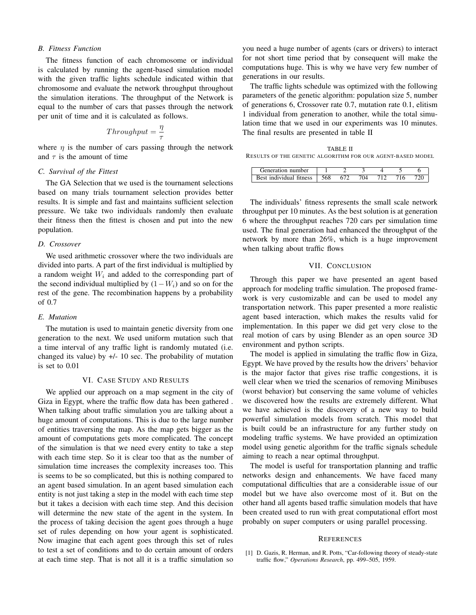#### *B. Fitness Function*

The fitness function of each chromosome or individual is calculated by running the agent-based simulation model with the given traffic lights schedule indicated within that chromosome and evaluate the network throughput throughout the simulation iterations. The throughput of the Network is equal to the number of cars that passes through the network per unit of time and it is calculated as follows.

$$
Throughput = \frac{\eta}{\tau}
$$

where  $\eta$  is the number of cars passing through the network and  $\tau$  is the amount of time

## *C. Survival of the Fittest*

The GA Selection that we used is the tournament selections based on many trials tournament selection provides better results. It is simple and fast and maintains sufficient selection pressure. We take two individuals randomly then evaluate their fitness then the fittest is chosen and put into the new population.

#### *D. Crossover*

We used arithmetic crossover where the two individuals are divided into parts. A part of the first individual is multiplied by a random weight  $W_i$  and added to the corresponding part of the second individual multiplied by  $(1-W_i)$  and so on for the rest of the gene. The recombination happens by a probability of 0.7

## *E. Mutation*

The mutation is used to maintain genetic diversity from one generation to the next. We used uniform mutation such that a time interval of any traffic light is randomly mutated (i.e. changed its value) by  $+/-$  10 sec. The probability of mutation is set to 0.01

# VI. CASE STUDY AND RESULTS

We applied our approach on a map segment in the city of Giza in Egypt, where the traffic flow data has been gathered . When talking about traffic simulation you are talking about a huge amount of computations. This is due to the large number of entities traversing the map. As the map gets bigger as the amount of computations gets more complicated. The concept of the simulation is that we need every entity to take a step with each time step. So it is clear too that as the number of simulation time increases the complexity increases too. This is seems to be so complicated, but this is nothing compared to an agent based simulation. In an agent based simulation each entity is not just taking a step in the model with each time step but it takes a decision with each time step. And this decision will determine the new state of the agent in the system. In the process of taking decision the agent goes through a huge set of rules depending on how your agent is sophisticated. Now imagine that each agent goes through this set of rules to test a set of conditions and to do certain amount of orders at each time step. That is not all it is a traffic simulation so

you need a huge number of agents (cars or drivers) to interact for not short time period that by consequent will make the computations huge. This is why we have very few number of generations in our results.

The traffic lights schedule was optimized with the following parameters of the genetic algorithm: population size 5, number of generations 6, Crossover rate 0.7, mutation rate 0.1, elitism 1 individual from generation to another, while the total simulation time that we used in our experiments was 10 minutes. The final results are presented in table II

TABLE II RESULTS OF THE GENETIC ALGORITHM FOR OUR AGENT-BASED MODEL

| number<br>тат10п.     |           |  |  |  |
|-----------------------|-----------|--|--|--|
| Individual<br>fitness | 500<br>υo |  |  |  |

The individuals' fitness represents the small scale network throughput per 10 minutes. As the best solution is at generation 6 where the throughput reaches 720 cars per simulation time used. The final generation had enhanced the throughput of the network by more than 26%, which is a huge improvement when talking about traffic flows

## VII. CONCLUSION

Through this paper we have presented an agent based approach for modeling traffic simulation. The proposed framework is very customizable and can be used to model any transportation network. This paper presented a more realistic agent based interaction, which makes the results valid for implementation. In this paper we did get very close to the real motion of cars by using Blender as an open source 3D environment and python scripts.

The model is applied in simulating the traffic flow in Giza, Egypt. We have proved by the results how the drivers' behavior is the major factor that gives rise traffic congestions, it is well clear when we tried the scenarios of removing Minibuses (worst behavior) but conserving the same volume of vehicles we discovered how the results are extremely different. What we have achieved is the discovery of a new way to build powerful simulation models from scratch. This model that is built could be an infrastructure for any further study on modeling traffic systems. We have provided an optimization model using genetic algorithm for the traffic signals schedule aiming to reach a near optimal throughput.

The model is useful for transportation planning and traffic networks design and enhancements. We have faced many computational difficulties that are a considerable issue of our model but we have also overcome most of it. But on the other hand all agents based traffic simulation models that have been created used to run with great computational effort most probably on super computers or using parallel processing.

#### **REFERENCES**

[1] D. Gazis, R. Herman, and R. Potts, "Car-following theory of steady-state traffic flow," *Operations Research*, pp. 499–505, 1959.